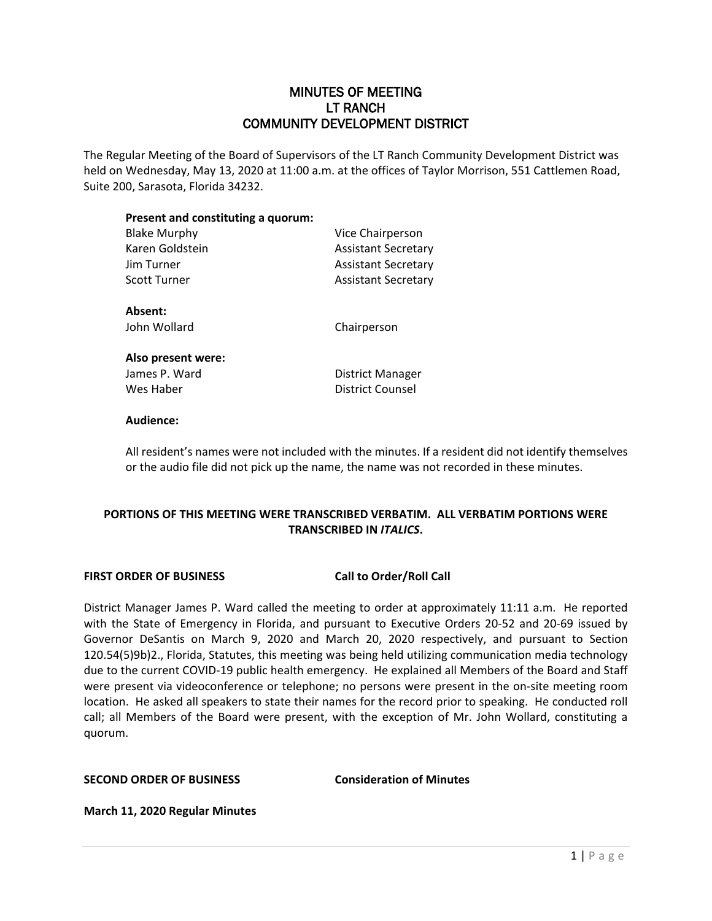## MINUTES OF MEETING LT RANCH COMMUNITY DEVELOPMENT DISTRICT

The Regular Meeting of the Board of Supervisors of the LT Ranch Community Development District was held on Wednesday, May 13, 2020 at 11:00 a.m. at the offices of Taylor Morrison, 551 Cattlemen Road, Suite 200, Sarasota, Florida 34232.

# **Present and constituting a quorum:**

| <b>Blake Murphy</b> | Vice Chairperson           |
|---------------------|----------------------------|
| Karen Goldstein     | <b>Assistant Secretary</b> |
| Jim Turner          | <b>Assistant Secretary</b> |
| Scott Turner        | <b>Assistant Secretary</b> |
| Absent:             |                            |
| John Wollard        | Chairperson                |
| Also present were:  |                            |
| James P. Ward       | District Manager           |
| Wes Haber           | <b>District Counsel</b>    |
|                     |                            |

## **Audience:**

All resident's names were not included with the minutes. If a resident did not identify themselves or the audio file did not pick up the name, the name was not recorded in these minutes.

## **PORTIONS OF THIS MEETING WERE TRANSCRIBED VERBATIM. ALL VERBATIM PORTIONS WERE TRANSCRIBED IN** *ITALICS***.**

## **FIRST ORDER OF BUSINESS Call to Order/Roll Call**

District Manager James P. Ward called the meeting to order at approximately 11:11 a.m. He reported with the State of Emergency in Florida, and pursuant to Executive Orders 20-52 and 20-69 issued by Governor DeSantis on March 9, 2020 and March 20, 2020 respectively, and pursuant to Section 120.54(5)9b)2., Florida, Statutes, this meeting was being held utilizing communication media technology due to the current COVID-19 public health emergency. He explained all Members of the Board and Staff were present via videoconference or telephone; no persons were present in the on-site meeting room location. He asked all speakers to state their names for the record prior to speaking. He conducted roll call; all Members of the Board were present, with the exception of Mr. John Wollard, constituting a quorum.

## **SECOND ORDER OF BUSINESS Consideration of Minutes**

**March 11, 2020 Regular Minutes**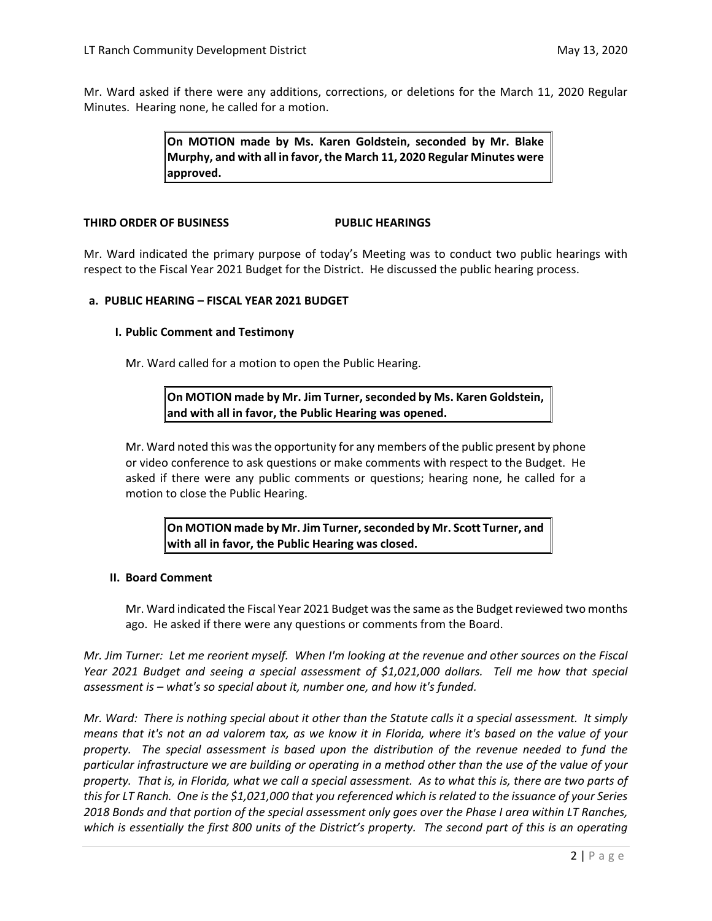Mr. Ward asked if there were any additions, corrections, or deletions for the March 11, 2020 Regular Minutes. Hearing none, he called for a motion.

> **On MOTION made by Ms. Karen Goldstein, seconded by Mr. Blake Murphy, and with all in favor, the March 11, 2020 Regular Minutes were approved.**

#### **THIRD ORDER OF BUSINESS PUBLIC HEARINGS**

Mr. Ward indicated the primary purpose of today's Meeting was to conduct two public hearings with respect to the Fiscal Year 2021 Budget for the District. He discussed the public hearing process.

## **a. PUBLIC HEARING – FISCAL YEAR 2021 BUDGET**

## **I. Public Comment and Testimony**

Mr. Ward called for a motion to open the Public Hearing.

**On MOTION made by Mr. Jim Turner, seconded by Ms. Karen Goldstein, and with all in favor, the Public Hearing was opened.**

Mr. Ward noted this was the opportunity for any members of the public present by phone or video conference to ask questions or make comments with respect to the Budget. He asked if there were any public comments or questions; hearing none, he called for a motion to close the Public Hearing.

**On MOTION made by Mr. Jim Turner,seconded by Mr. Scott Turner, and with all in favor, the Public Hearing was closed.**

## **II. Board Comment**

Mr. Ward indicated the Fiscal Year 2021 Budget was the same as the Budget reviewed two months ago. He asked if there were any questions or comments from the Board.

*Mr. Jim Turner: Let me reorient myself. When I'm looking at the revenue and other sources on the Fiscal Year 2021 Budget and seeing a special assessment of \$1,021,000 dollars. Tell me how that special assessment is – what's so special about it, number one, and how it's funded.* 

*Mr. Ward: There is nothing special about it other than the Statute calls it a special assessment. It simply means that it's not an ad valorem tax, as we know it in Florida, where it's based on the value of your property. The special assessment is based upon the distribution of the revenue needed to fund the particular infrastructure we are building or operating in a method other than the use of the value of your property. That is, in Florida, what we call a special assessment. As to what this is, there are two parts of this for LT Ranch. One is the \$1,021,000 that you referenced which is related to the issuance of your Series 2018 Bonds and that portion of the special assessment only goes over the Phase I area within LT Ranches, which is essentially the first 800 units of the District's property. The second part of this is an operating*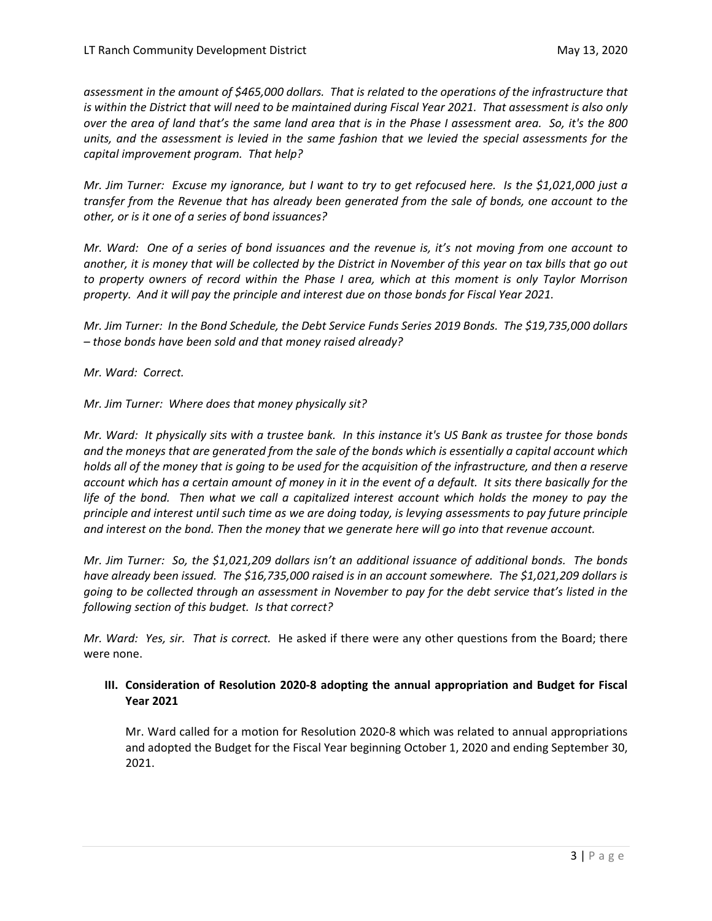*assessment in the amount of \$465,000 dollars. That is related to the operations of the infrastructure that is within the District that will need to be maintained during Fiscal Year 2021. That assessment is also only over the area of land that's the same land area that is in the Phase I assessment area. So, it's the 800 units, and the assessment is levied in the same fashion that we levied the special assessments for the capital improvement program. That help?*

*Mr. Jim Turner: Excuse my ignorance, but I want to try to get refocused here. Is the \$1,021,000 just a transfer from the Revenue that has already been generated from the sale of bonds, one account to the other, or is it one of a series of bond issuances?*

*Mr. Ward: One of a series of bond issuances and the revenue is, it's not moving from one account to another, it is money that will be collected by the District in November of this year on tax bills that go out to property owners of record within the Phase I area, which at this moment is only Taylor Morrison property. And it will pay the principle and interest due on those bonds for Fiscal Year 2021.* 

*Mr. Jim Turner: In the Bond Schedule, the Debt Service Funds Series 2019 Bonds. The \$19,735,000 dollars – those bonds have been sold and that money raised already?*

*Mr. Ward: Correct.* 

*Mr. Jim Turner: Where does that money physically sit?*

*Mr. Ward: It physically sits with a trustee bank. In this instance it's US Bank as trustee for those bonds and the moneys that are generated from the sale of the bonds which is essentially a capital account which holds all of the money that is going to be used for the acquisition of the infrastructure, and then a reserve account which has a certain amount of money in it in the event of a default. It sits there basically for the life of the bond. Then what we call a capitalized interest account which holds the money to pay the principle and interest until such time as we are doing today, is levying assessments to pay future principle and interest on the bond. Then the money that we generate here will go into that revenue account.* 

*Mr. Jim Turner: So, the \$1,021,209 dollars isn't an additional issuance of additional bonds. The bonds have already been issued. The \$16,735,000 raised is in an account somewhere. The \$1,021,209 dollars is going to be collected through an assessment in November to pay for the debt service that's listed in the following section of this budget. Is that correct?*

*Mr. Ward: Yes, sir. That is correct.* He asked if there were any other questions from the Board; there were none.

## **III. Consideration of Resolution 2020-8 adopting the annual appropriation and Budget for Fiscal Year 2021**

Mr. Ward called for a motion for Resolution 2020-8 which was related to annual appropriations and adopted the Budget for the Fiscal Year beginning October 1, 2020 and ending September 30, 2021.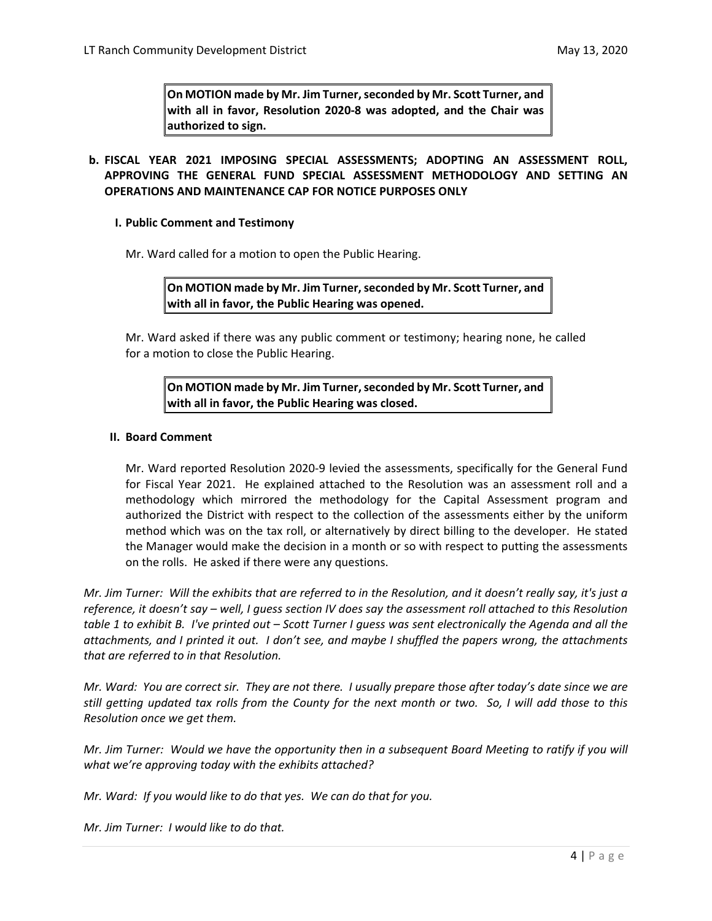**On MOTION made by Mr. Jim Turner, seconded by Mr. Scott Turner, and with all in favor, Resolution 2020-8 was adopted, and the Chair was authorized to sign.** 

## **b. FISCAL YEAR 2021 IMPOSING SPECIAL ASSESSMENTS; ADOPTING AN ASSESSMENT ROLL, APPROVING THE GENERAL FUND SPECIAL ASSESSMENT METHODOLOGY AND SETTING AN OPERATIONS AND MAINTENANCE CAP FOR NOTICE PURPOSES ONLY**

## **I. Public Comment and Testimony**

Mr. Ward called for a motion to open the Public Hearing.

**On MOTION made by Mr. Jim Turner, seconded by Mr. Scott Turner, and with all in favor, the Public Hearing was opened.**

Mr. Ward asked if there was any public comment or testimony; hearing none, he called for a motion to close the Public Hearing.

## **On MOTION made by Mr. Jim Turner, seconded by Mr. Scott Turner, and with all in favor, the Public Hearing was closed.**

## **II. Board Comment**

Mr. Ward reported Resolution 2020-9 levied the assessments, specifically for the General Fund for Fiscal Year 2021. He explained attached to the Resolution was an assessment roll and a methodology which mirrored the methodology for the Capital Assessment program and authorized the District with respect to the collection of the assessments either by the uniform method which was on the tax roll, or alternatively by direct billing to the developer. He stated the Manager would make the decision in a month or so with respect to putting the assessments on the rolls. He asked if there were any questions.

*Mr. Jim Turner: Will the exhibits that are referred to in the Resolution, and it doesn't really say, it's just a reference, it doesn't say – well, I guess section IV does say the assessment roll attached to this Resolution table 1 to exhibit B. I've printed out – Scott Turner I guess was sent electronically the Agenda and all the attachments, and I printed it out. I don't see, and maybe I shuffled the papers wrong, the attachments that are referred to in that Resolution.* 

*Mr. Ward: You are correct sir. They are not there. I usually prepare those after today's date since we are still getting updated tax rolls from the County for the next month or two. So, I will add those to this Resolution once we get them.* 

*Mr. Jim Turner: Would we have the opportunity then in a subsequent Board Meeting to ratify if you will what we're approving today with the exhibits attached?* 

*Mr. Ward: If you would like to do that yes. We can do that for you.*

*Mr. Jim Turner: I would like to do that.*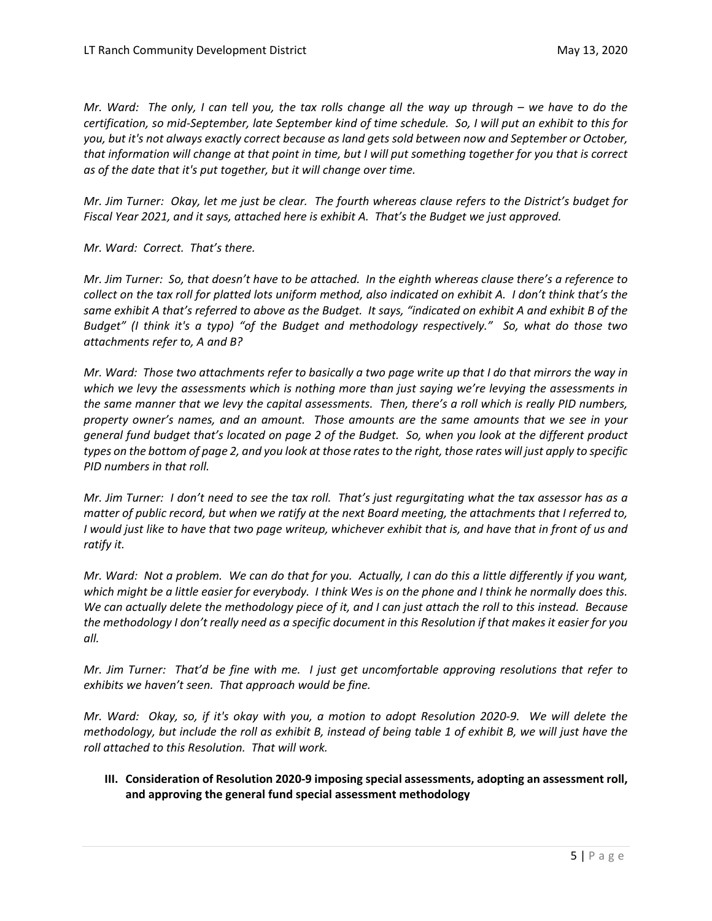*Mr. Ward: The only, I can tell you, the tax rolls change all the way up through – we have to do the certification, so mid-September, late September kind of time schedule. So, I will put an exhibit to this for you, but it's not always exactly correct because as land gets sold between now and September or October, that information will change at that point in time, but I will put something together for you that is correct as of the date that it's put together, but it will change over time.* 

*Mr. Jim Turner: Okay, let me just be clear. The fourth whereas clause refers to the District's budget for Fiscal Year 2021, and it says, attached here is exhibit A. That's the Budget we just approved.* 

*Mr. Ward: Correct. That's there.* 

*Mr. Jim Turner: So, that doesn't have to be attached. In the eighth whereas clause there's a reference to collect on the tax roll for platted lots uniform method, also indicated on exhibit A. I don't think that's the same exhibit A that's referred to above as the Budget. It says, "indicated on exhibit A and exhibit B of the Budget" (I think it's a typo) "of the Budget and methodology respectively." So, what do those two attachments refer to, A and B?* 

*Mr. Ward: Those two attachments refer to basically a two page write up that I do that mirrors the way in which we levy the assessments which is nothing more than just saying we're levying the assessments in the same manner that we levy the capital assessments. Then, there's a roll which is really PID numbers, property owner's names, and an amount. Those amounts are the same amounts that we see in your general fund budget that's located on page 2 of the Budget. So, when you look at the different product types on the bottom of page 2, and you look at those rates to the right, those rates will just apply to specific PID numbers in that roll.* 

*Mr. Jim Turner: I don't need to see the tax roll. That's just regurgitating what the tax assessor has as a matter of public record, but when we ratify at the next Board meeting, the attachments that I referred to, I would just like to have that two page writeup, whichever exhibit that is, and have that in front of us and ratify it.* 

*Mr. Ward: Not a problem. We can do that for you. Actually, I can do this a little differently if you want, which might be a little easier for everybody. I think Wes is on the phone and I think he normally does this. We can actually delete the methodology piece of it, and I can just attach the roll to this instead. Because the methodology I don't really need as a specific document in this Resolution if that makes it easier for you all.* 

*Mr. Jim Turner: That'd be fine with me. I just get uncomfortable approving resolutions that refer to exhibits we haven't seen. That approach would be fine.* 

*Mr. Ward: Okay, so, if it's okay with you, a motion to adopt Resolution 2020-9. We will delete the methodology, but include the roll as exhibit B, instead of being table 1 of exhibit B, we will just have the roll attached to this Resolution. That will work.* 

## **III. Consideration of Resolution 2020-9 imposing special assessments, adopting an assessment roll, and approving the general fund special assessment methodology**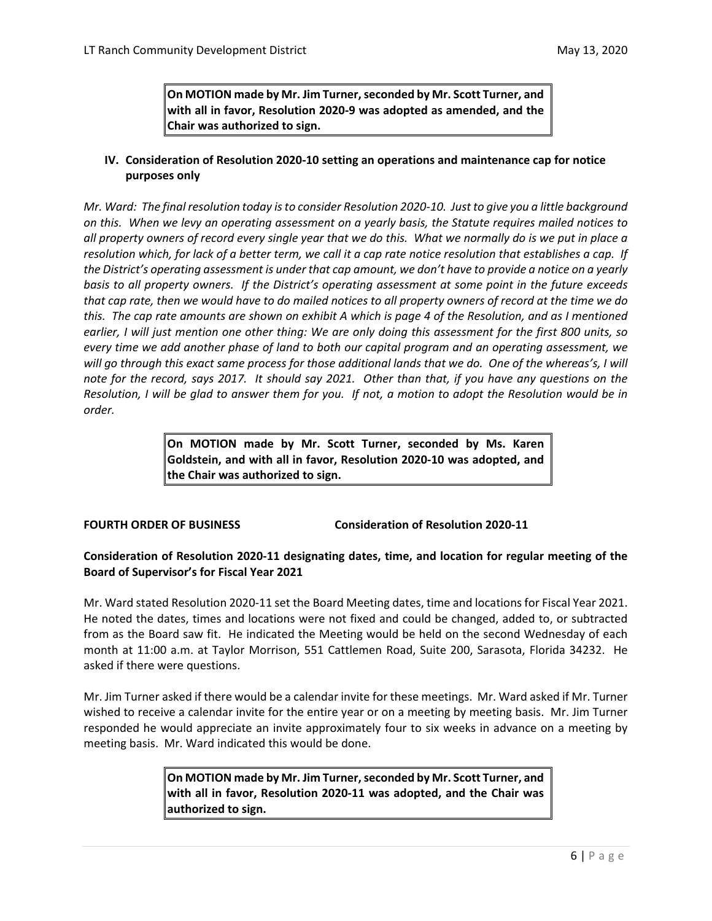**On MOTION made by Mr. Jim Turner, seconded by Mr. Scott Turner, and with all in favor, Resolution 2020-9 was adopted as amended, and the Chair was authorized to sign.** 

## **IV. Consideration of Resolution 2020-10 setting an operations and maintenance cap for notice purposes only**

*Mr. Ward: The final resolution today is to consider Resolution 2020-10. Just to give you a little background on this. When we levy an operating assessment on a yearly basis, the Statute requires mailed notices to all property owners of record every single year that we do this. What we normally do is we put in place a resolution which, for lack of a better term, we call it a cap rate notice resolution that establishes a cap. If the District's operating assessment is under that cap amount, we don't have to provide a notice on a yearly basis to all property owners. If the District's operating assessment at some point in the future exceeds that cap rate, then we would have to do mailed notices to all property owners of record at the time we do this. The cap rate amounts are shown on exhibit A which is page 4 of the Resolution, and as I mentioned earlier, I will just mention one other thing: We are only doing this assessment for the first 800 units, so every time we add another phase of land to both our capital program and an operating assessment, we will go through this exact same process for those additional lands that we do. One of the whereas's, I will note for the record, says 2017. It should say 2021. Other than that, if you have any questions on the Resolution, I will be glad to answer them for you. If not, a motion to adopt the Resolution would be in order.*

> **On MOTION made by Mr. Scott Turner, seconded by Ms. Karen Goldstein, and with all in favor, Resolution 2020-10 was adopted, and the Chair was authorized to sign.**

**FOURTH ORDER OF BUSINESS Consideration of Resolution 2020-11**

## **Consideration of Resolution 2020-11 designating dates, time, and location for regular meeting of the Board of Supervisor's for Fiscal Year 2021**

Mr. Ward stated Resolution 2020-11 set the Board Meeting dates, time and locations for Fiscal Year 2021. He noted the dates, times and locations were not fixed and could be changed, added to, or subtracted from as the Board saw fit. He indicated the Meeting would be held on the second Wednesday of each month at 11:00 a.m. at Taylor Morrison, 551 Cattlemen Road, Suite 200, Sarasota, Florida 34232. He asked if there were questions.

Mr. Jim Turner asked if there would be a calendar invite for these meetings. Mr. Ward asked if Mr. Turner wished to receive a calendar invite for the entire year or on a meeting by meeting basis. Mr. Jim Turner responded he would appreciate an invite approximately four to six weeks in advance on a meeting by meeting basis. Mr. Ward indicated this would be done.

## **On MOTION made by Mr. Jim Turner, seconded by Mr. Scott Turner, and with all in favor, Resolution 2020-11 was adopted, and the Chair was authorized to sign.**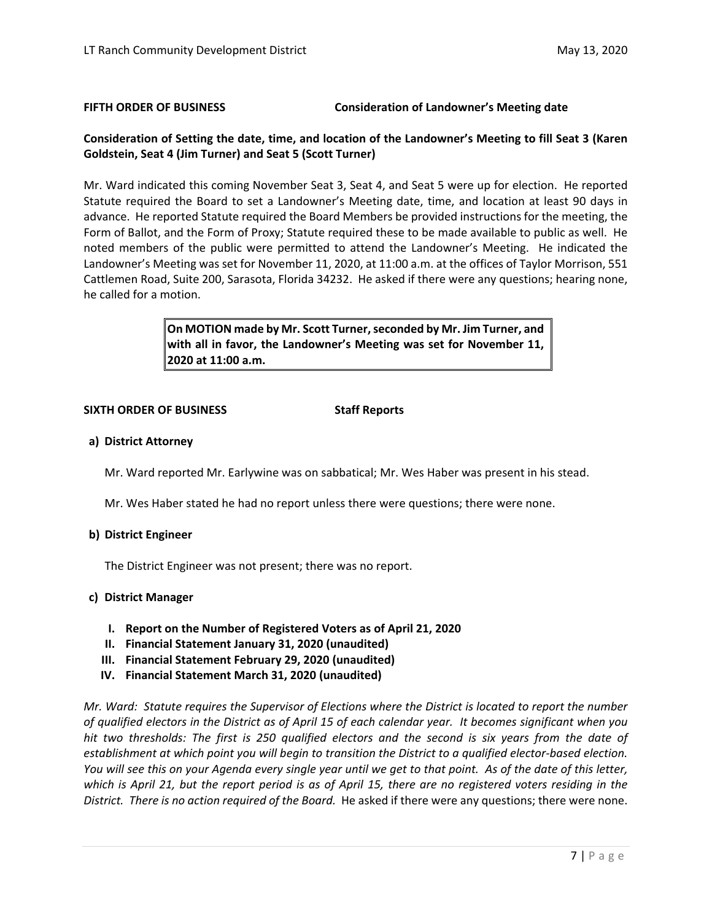### **FIFTH ORDER OF BUSINESS Consideration of Landowner's Meeting date**

## **Consideration of Setting the date, time, and location of the Landowner's Meeting to fill Seat 3 (Karen Goldstein, Seat 4 (Jim Turner) and Seat 5 (Scott Turner)**

Mr. Ward indicated this coming November Seat 3, Seat 4, and Seat 5 were up for election. He reported Statute required the Board to set a Landowner's Meeting date, time, and location at least 90 days in advance. He reported Statute required the Board Members be provided instructions for the meeting, the Form of Ballot, and the Form of Proxy; Statute required these to be made available to public as well. He noted members of the public were permitted to attend the Landowner's Meeting. He indicated the Landowner's Meeting was set for November 11, 2020, at 11:00 a.m. at the offices of Taylor Morrison, 551 Cattlemen Road, Suite 200, Sarasota, Florida 34232. He asked if there were any questions; hearing none, he called for a motion.

> **On MOTION made by Mr. Scott Turner, seconded by Mr. Jim Turner, and with all in favor, the Landowner's Meeting was set for November 11, 2020 at 11:00 a.m.**

#### **SIXTH ORDER OF BUSINESS Staff Reports**

## **a) District Attorney**

Mr. Ward reported Mr. Earlywine was on sabbatical; Mr. Wes Haber was present in his stead.

Mr. Wes Haber stated he had no report unless there were questions; there were none.

## **b) District Engineer**

The District Engineer was not present; there was no report.

## **c) District Manager**

- **I. Report on the Number of Registered Voters as of April 21, 2020**
- **II. Financial Statement January 31, 2020 (unaudited)**
- **III. Financial Statement February 29, 2020 (unaudited)**
- **IV. Financial Statement March 31, 2020 (unaudited)**

*Mr. Ward: Statute requires the Supervisor of Elections where the District is located to report the number of qualified electors in the District as of April 15 of each calendar year. It becomes significant when you hit two thresholds: The first is 250 qualified electors and the second is six years from the date of establishment at which point you will begin to transition the District to a qualified elector-based election. You will see this on your Agenda every single year until we get to that point. As of the date of this letter, which is April 21, but the report period is as of April 15, there are no registered voters residing in the District. There is no action required of the Board.* He asked if there were any questions; there were none.